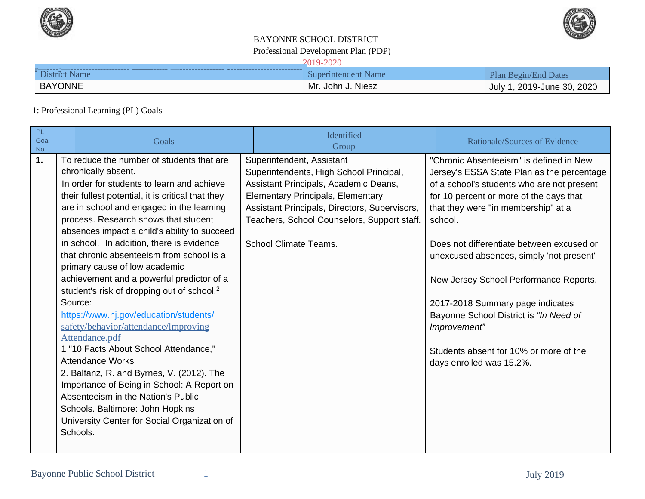



## Professional Development Plan (PDP) BAYONNE SCHOOL DISTRICT

#### 2019-2020

| <b>Dis</b><br>vame | Name<br>SUDO<br>endent<br>nnu | P <sub>lan</sub><br>$\mathsf{Var}$<br>mo |
|--------------------|-------------------------------|------------------------------------------|
| <b>BAYONNE</b>     | Mr. John J. Niesz             | 2020<br>19-June 30,<br>$2019 -$<br>July  |

## 1: Professional Learning (PL) Goals

| PL<br>Goal<br>No.         | Goals                                                                                                                                                                                                                                                                                                                                                                                                                                                                                                                                                                                                                                                                                                                                                                                                                                                                                                                                                | Identified<br>Group                                                                                                                                                                                                                                                                       | <b>Rationale/Sources of Evidence</b>                                                                                                                                                                                                                                                                                                                                                                                                                                                                                                    |
|---------------------------|------------------------------------------------------------------------------------------------------------------------------------------------------------------------------------------------------------------------------------------------------------------------------------------------------------------------------------------------------------------------------------------------------------------------------------------------------------------------------------------------------------------------------------------------------------------------------------------------------------------------------------------------------------------------------------------------------------------------------------------------------------------------------------------------------------------------------------------------------------------------------------------------------------------------------------------------------|-------------------------------------------------------------------------------------------------------------------------------------------------------------------------------------------------------------------------------------------------------------------------------------------|-----------------------------------------------------------------------------------------------------------------------------------------------------------------------------------------------------------------------------------------------------------------------------------------------------------------------------------------------------------------------------------------------------------------------------------------------------------------------------------------------------------------------------------------|
| 1.<br>Source:<br>Schools. | To reduce the number of students that are<br>chronically absent.<br>In order for students to learn and achieve<br>their fullest potential, it is critical that they<br>are in school and engaged in the learning<br>process. Research shows that student<br>absences impact a child's ability to succeed<br>in school. <sup>1</sup> In addition, there is evidence<br>that chronic absenteeism from school is a<br>primary cause of low academic<br>achievement and a powerful predictor of a<br>student's risk of dropping out of school. <sup>2</sup><br>https://www.nj.gov/education/students/<br>safety/behavior/attendance/Improving<br>Attendance.pdf<br>1 "10 Facts About School Attendance,"<br><b>Attendance Works</b><br>2. Balfanz, R. and Byrnes, V. (2012). The<br>Importance of Being in School: A Report on<br>Absenteeism in the Nation's Public<br>Schools. Baltimore: John Hopkins<br>University Center for Social Organization of | Superintendent, Assistant<br>Superintendents, High School Principal,<br>Assistant Principals, Academic Deans,<br><b>Elementary Principals, Elementary</b><br>Assistant Principals, Directors, Supervisors,<br>Teachers, School Counselors, Support staff.<br><b>School Climate Teams.</b> | "Chronic Absenteeism" is defined in New<br>Jersey's ESSA State Plan as the percentage<br>of a school's students who are not present<br>for 10 percent or more of the days that<br>that they were "in membership" at a<br>school.<br>Does not differentiate between excused or<br>unexcused absences, simply 'not present'<br>New Jersey School Performance Reports.<br>2017-2018 Summary page indicates<br>Bayonne School District is "In Need of<br>Improvement"<br>Students absent for 10% or more of the<br>days enrolled was 15.2%. |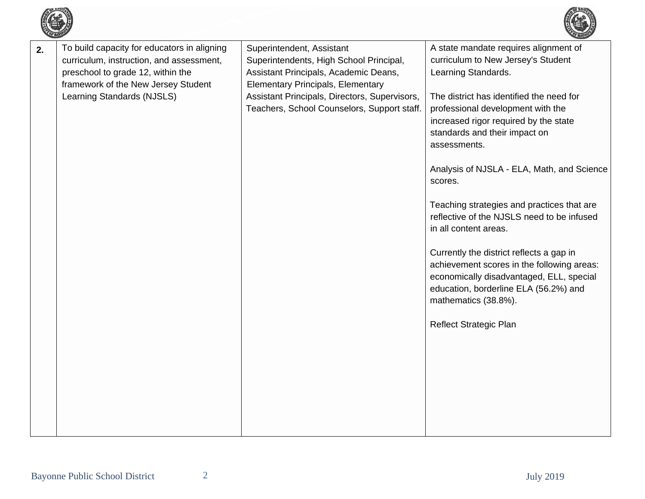

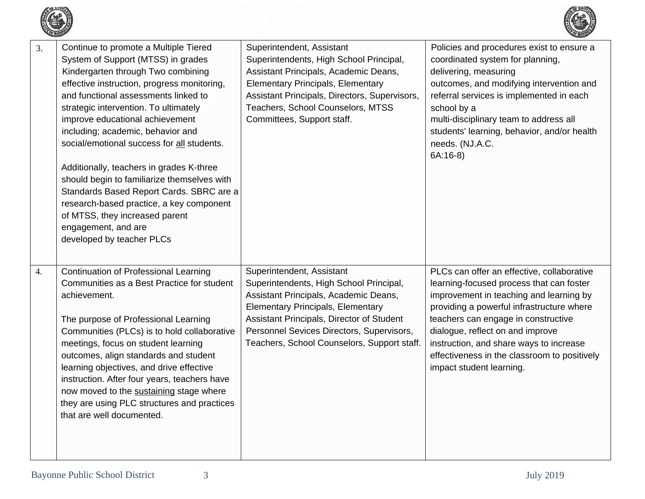



| 3. | Continue to promote a Multiple Tiered<br>System of Support (MTSS) in grades<br>Kindergarten through Two combining<br>effective instruction, progress monitoring,<br>and functional assessments linked to<br>strategic intervention. To ultimately<br>improve educational achievement<br>including; academic, behavior and<br>social/emotional success for all students.<br>Additionally, teachers in grades K-three<br>should begin to familiarize themselves with<br>Standards Based Report Cards. SBRC are a<br>research-based practice, a key component<br>of MTSS, they increased parent<br>engagement, and are<br>developed by teacher PLCs | Superintendent, Assistant<br>Superintendents, High School Principal,<br>Assistant Principals, Academic Deans,<br><b>Elementary Principals, Elementary</b><br>Assistant Principals, Directors, Supervisors,<br>Teachers, School Counselors, MTSS<br>Committees, Support staff.                      | Policies and procedures exist to ensure a<br>coordinated system for planning,<br>delivering, measuring<br>outcomes, and modifying intervention and<br>referral services is implemented in each<br>school by a<br>multi-disciplinary team to address all<br>students' learning, behavior, and/or health<br>needs. (NJ.A.C.<br>$6A:16-8$                                           |
|----|--------------------------------------------------------------------------------------------------------------------------------------------------------------------------------------------------------------------------------------------------------------------------------------------------------------------------------------------------------------------------------------------------------------------------------------------------------------------------------------------------------------------------------------------------------------------------------------------------------------------------------------------------|----------------------------------------------------------------------------------------------------------------------------------------------------------------------------------------------------------------------------------------------------------------------------------------------------|----------------------------------------------------------------------------------------------------------------------------------------------------------------------------------------------------------------------------------------------------------------------------------------------------------------------------------------------------------------------------------|
| 4. | Continuation of Professional Learning<br>Communities as a Best Practice for student<br>achievement.<br>The purpose of Professional Learning<br>Communities (PLCs) is to hold collaborative<br>meetings, focus on student learning<br>outcomes, align standards and student<br>learning objectives, and drive effective<br>instruction. After four years, teachers have<br>now moved to the sustaining stage where<br>they are using PLC structures and practices<br>that are well documented.                                                                                                                                                    | Superintendent, Assistant<br>Superintendents, High School Principal,<br>Assistant Principals, Academic Deans,<br><b>Elementary Principals, Elementary</b><br>Assistant Principals, Director of Student<br>Personnel Sevices Directors, Supervisors,<br>Teachers, School Counselors, Support staff. | PLCs can offer an effective, collaborative<br>learning-focused process that can foster<br>improvement in teaching and learning by<br>providing a powerful infrastructure where<br>teachers can engage in constructive<br>dialogue, reflect on and improve<br>instruction, and share ways to increase<br>effectiveness in the classroom to positively<br>impact student learning. |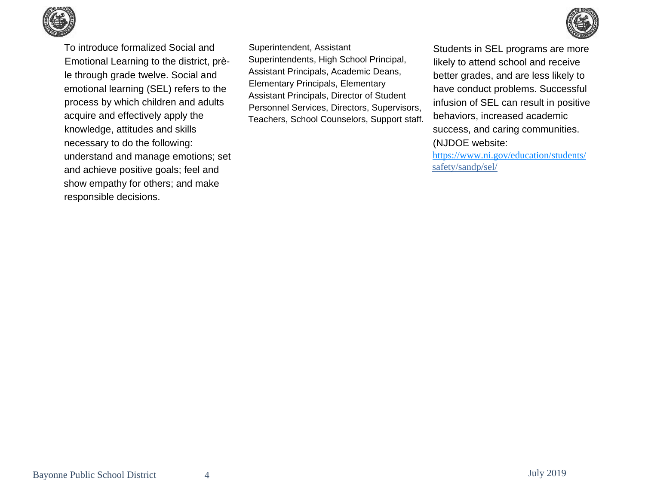



Superintendent, Assistant Superintendents, High School Principal, Assistant Principals, Academic Deans, Elementary Principals, Elementary Assistant Principals, Director of Student Personnel Services, Directors, Supervisors, Teachers, School Counselors, Support staff.



Students in SEL programs are more likely to attend school and receive better grades, and are less likely to have conduct problems. Successful infusion of SEL can result in positive behaviors, increased academic success, and caring communities.

(NJDOE website: <https://www.ni.gov/education/students/> safety/sandp/sel/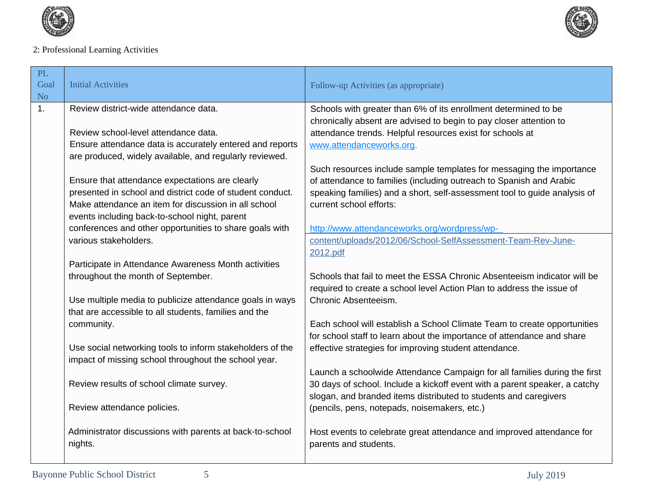



# 2: Professional Learning Activities

| PL<br>Goal<br>N <sub>o</sub> | <b>Initial Activities</b>                                                                                                                                          | Follow-up Activities (as appropriate)                                                                                                                       |
|------------------------------|--------------------------------------------------------------------------------------------------------------------------------------------------------------------|-------------------------------------------------------------------------------------------------------------------------------------------------------------|
| 1.                           | Review district-wide attendance data.                                                                                                                              | Schools with greater than 6% of its enrollment determined to be                                                                                             |
|                              | Review school-level attendance data.<br>Ensure attendance data is accurately entered and reports<br>are produced, widely available, and regularly reviewed.        | chronically absent are advised to begin to pay closer attention to<br>attendance trends. Helpful resources exist for schools at<br>www.attendanceworks.org. |
|                              | Ensure that attendance expectations are clearly                                                                                                                    | Such resources include sample templates for messaging the importance<br>of attendance to families (including outreach to Spanish and Arabic                 |
|                              | presented in school and district code of student conduct.<br>Make attendance an item for discussion in all school<br>events including back-to-school night, parent | speaking families) and a short, self-assessment tool to guide analysis of<br>current school efforts:                                                        |
|                              | conferences and other opportunities to share goals with                                                                                                            | http://www.attendanceworks.org/wordpress/wp-                                                                                                                |
|                              | various stakeholders.                                                                                                                                              | content/uploads/2012/06/School-SelfAssessment-Team-Rev-June-<br>2012.pdf                                                                                    |
|                              | Participate in Attendance Awareness Month activities                                                                                                               |                                                                                                                                                             |
|                              | throughout the month of September.                                                                                                                                 | Schools that fail to meet the ESSA Chronic Absenteeism indicator will be<br>required to create a school level Action Plan to address the issue of           |
|                              | Use multiple media to publicize attendance goals in ways<br>that are accessible to all students, families and the                                                  | Chronic Absenteeism.                                                                                                                                        |
|                              | community.                                                                                                                                                         | Each school will establish a School Climate Team to create opportunities<br>for school staff to learn about the importance of attendance and share          |
|                              | Use social networking tools to inform stakeholders of the<br>impact of missing school throughout the school year.                                                  | effective strategies for improving student attendance.                                                                                                      |
|                              | Review results of school climate survey.                                                                                                                           | Launch a schoolwide Attendance Campaign for all families during the first<br>30 days of school. Include a kickoff event with a parent speaker, a catchy     |
|                              | Review attendance policies.                                                                                                                                        | slogan, and branded items distributed to students and caregivers<br>(pencils, pens, notepads, noisemakers, etc.)                                            |
|                              | Administrator discussions with parents at back-to-school<br>nights.                                                                                                | Host events to celebrate great attendance and improved attendance for<br>parents and students.                                                              |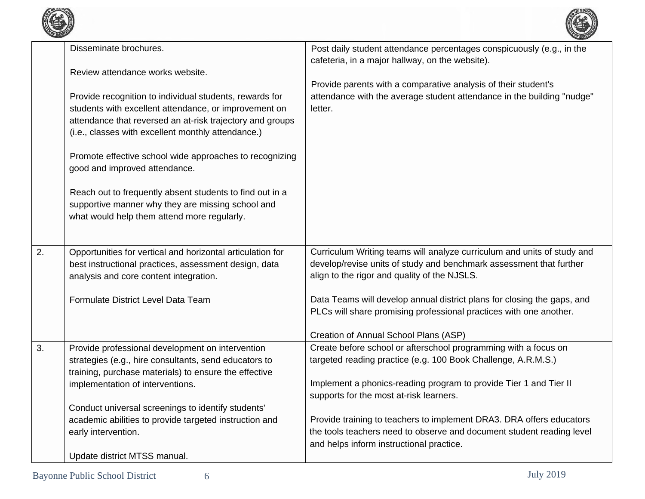



|    | Disseminate brochures.                                                                                    | Post daily student attendance percentages conspicuously (e.g., in the<br>cafeteria, in a major hallway, on the website).         |
|----|-----------------------------------------------------------------------------------------------------------|----------------------------------------------------------------------------------------------------------------------------------|
|    | Review attendance works website.                                                                          |                                                                                                                                  |
|    |                                                                                                           | Provide parents with a comparative analysis of their student's                                                                   |
|    | Provide recognition to individual students, rewards for                                                   | attendance with the average student attendance in the building "nudge"                                                           |
|    | students with excellent attendance, or improvement on                                                     | letter.                                                                                                                          |
|    | attendance that reversed an at-risk trajectory and groups                                                 |                                                                                                                                  |
|    | (i.e., classes with excellent monthly attendance.)                                                        |                                                                                                                                  |
|    | Promote effective school wide approaches to recognizing                                                   |                                                                                                                                  |
|    | good and improved attendance.                                                                             |                                                                                                                                  |
|    |                                                                                                           |                                                                                                                                  |
|    | Reach out to frequently absent students to find out in a                                                  |                                                                                                                                  |
|    | supportive manner why they are missing school and                                                         |                                                                                                                                  |
|    | what would help them attend more regularly.                                                               |                                                                                                                                  |
|    |                                                                                                           |                                                                                                                                  |
| 2. | Opportunities for vertical and horizontal articulation for                                                | Curriculum Writing teams will analyze curriculum and units of study and                                                          |
|    | best instructional practices, assessment design, data                                                     | develop/revise units of study and benchmark assessment that further                                                              |
|    | analysis and core content integration.                                                                    | align to the rigor and quality of the NJSLS.                                                                                     |
|    | Formulate District Level Data Team                                                                        | Data Teams will develop annual district plans for closing the gaps, and                                                          |
|    |                                                                                                           | PLCs will share promising professional practices with one another.                                                               |
|    |                                                                                                           |                                                                                                                                  |
|    |                                                                                                           | Creation of Annual School Plans (ASP)                                                                                            |
| 3. | Provide professional development on intervention<br>strategies (e.g., hire consultants, send educators to | Create before school or afterschool programming with a focus on<br>targeted reading practice (e.g. 100 Book Challenge, A.R.M.S.) |
|    | training, purchase materials) to ensure the effective                                                     |                                                                                                                                  |
|    | implementation of interventions.                                                                          | Implement a phonics-reading program to provide Tier 1 and Tier II                                                                |
|    |                                                                                                           | supports for the most at-risk learners.                                                                                          |
|    | Conduct universal screenings to identify students'                                                        |                                                                                                                                  |
|    | academic abilities to provide targeted instruction and                                                    | Provide training to teachers to implement DRA3. DRA offers educators                                                             |
|    | early intervention.                                                                                       | the tools teachers need to observe and document student reading level                                                            |
|    |                                                                                                           | and helps inform instructional practice.                                                                                         |
|    | Update district MTSS manual.                                                                              |                                                                                                                                  |
|    |                                                                                                           |                                                                                                                                  |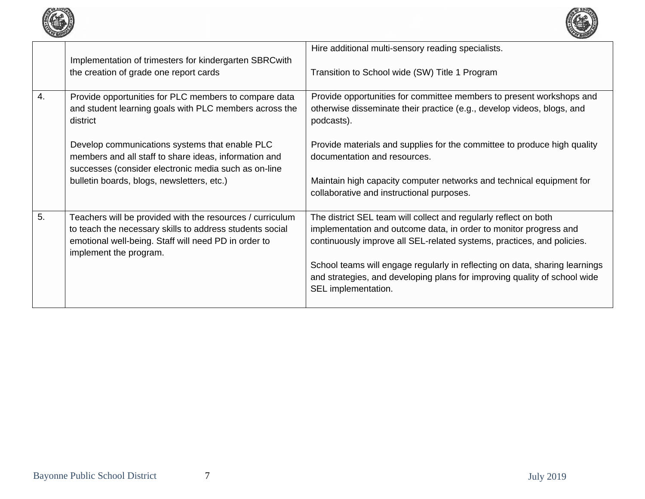

|    | Implementation of trimesters for kindergarten SBRCwith<br>the creation of grade one report cards                                                                                                        | Hire additional multi-sensory reading specialists.<br>Transition to School wide (SW) Title 1 Program                                                                                                                                                                                                                                                                                               |
|----|---------------------------------------------------------------------------------------------------------------------------------------------------------------------------------------------------------|----------------------------------------------------------------------------------------------------------------------------------------------------------------------------------------------------------------------------------------------------------------------------------------------------------------------------------------------------------------------------------------------------|
| 4. | Provide opportunities for PLC members to compare data<br>and student learning goals with PLC members across the<br>district                                                                             | Provide opportunities for committee members to present workshops and<br>otherwise disseminate their practice (e.g., develop videos, blogs, and<br>podcasts).                                                                                                                                                                                                                                       |
|    | Develop communications systems that enable PLC<br>members and all staff to share ideas, information and<br>successes (consider electronic media such as on-line                                         | Provide materials and supplies for the committee to produce high quality<br>documentation and resources.                                                                                                                                                                                                                                                                                           |
|    | bulletin boards, blogs, newsletters, etc.)                                                                                                                                                              | Maintain high capacity computer networks and technical equipment for<br>collaborative and instructional purposes.                                                                                                                                                                                                                                                                                  |
| 5. | Teachers will be provided with the resources / curriculum<br>to teach the necessary skills to address students social<br>emotional well-being. Staff will need PD in order to<br>implement the program. | The district SEL team will collect and regularly reflect on both<br>implementation and outcome data, in order to monitor progress and<br>continuously improve all SEL-related systems, practices, and policies.<br>School teams will engage regularly in reflecting on data, sharing learnings<br>and strategies, and developing plans for improving quality of school wide<br>SEL implementation. |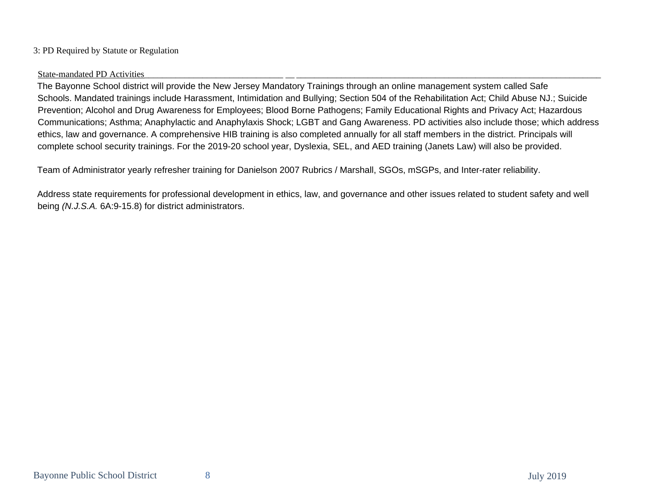## 3: PD Required by Statute or Regulation

### State-mandated PD Activities

The Bayonne School district will provide the New Jersey Mandatory Trainings through an online management system called Safe Schools. Mandated trainings include Harassment, Intimidation and Bullying; Section 504 of the Rehabilitation Act; Child Abuse NJ.; Suicide Prevention; Alcohol and Drug Awareness for Employees; Blood Borne Pathogens; Family Educational Rights and Privacy Act; Hazardous Communications; Asthma; Anaphylactic and Anaphylaxis Shock; LGBT and Gang Awareness. PD activities also include those; which address ethics, law and governance. A comprehensive HIB training is also completed annually for all staff members in the district. Principals will complete school security trainings. For the 2019-20 school year, Dyslexia, SEL, and AED training (Janets Law) will also be provided.

Team of Administrator yearly refresher training for Danielson 2007 Rubrics / Marshall, SGOs, mSGPs, and Inter-rater reliability.

Address state requirements for professional development in ethics, law, and governance and other issues related to student safety and well being *(N.J.S.A.* 6A:9-15.8) for district administrators.